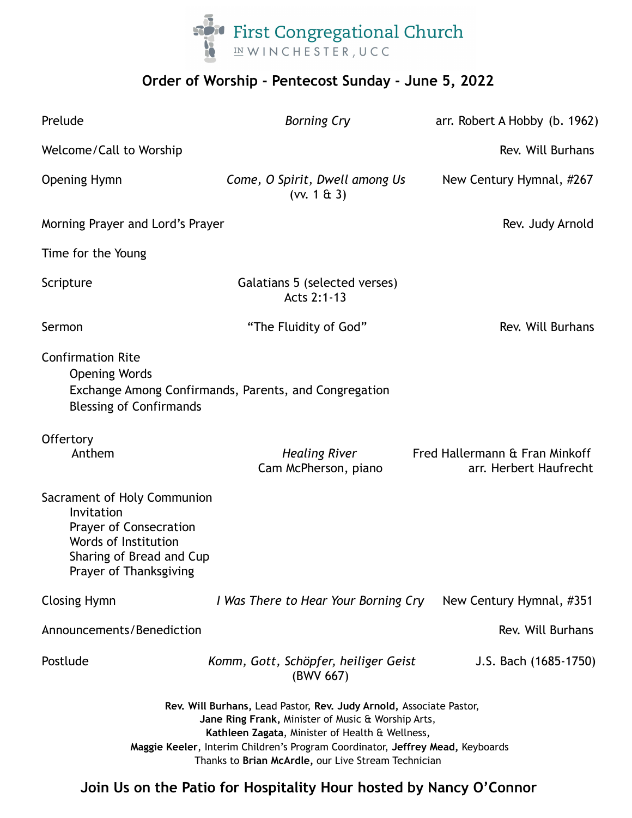

# **Order of Worship - Pentecost Sunday - June 5, 2022**

| Prelude                                                                                                                                                                                                                                                                                                               | <b>Borning Cry</b>                                    | arr. Robert A Hobby (b. 1962)                            |
|-----------------------------------------------------------------------------------------------------------------------------------------------------------------------------------------------------------------------------------------------------------------------------------------------------------------------|-------------------------------------------------------|----------------------------------------------------------|
| Welcome/Call to Worship                                                                                                                                                                                                                                                                                               |                                                       | Rev. Will Burhans                                        |
| <b>Opening Hymn</b>                                                                                                                                                                                                                                                                                                   | Come, O Spirit, Dwell among Us<br>(vv. 1 & 3)         | New Century Hymnal, #267                                 |
| Morning Prayer and Lord's Prayer                                                                                                                                                                                                                                                                                      |                                                       | Rev. Judy Arnold                                         |
| Time for the Young                                                                                                                                                                                                                                                                                                    |                                                       |                                                          |
| Scripture                                                                                                                                                                                                                                                                                                             | Galatians 5 (selected verses)<br>Acts 2:1-13          |                                                          |
| Sermon                                                                                                                                                                                                                                                                                                                | "The Fluidity of God"                                 | Rev. Will Burhans                                        |
| <b>Confirmation Rite</b><br><b>Opening Words</b><br><b>Blessing of Confirmands</b>                                                                                                                                                                                                                                    | Exchange Among Confirmands, Parents, and Congregation |                                                          |
| Offertory<br>Anthem                                                                                                                                                                                                                                                                                                   | <b>Healing River</b><br>Cam McPherson, piano          | Fred Hallermann & Fran Minkoff<br>arr. Herbert Haufrecht |
| Sacrament of Holy Communion<br>Invitation<br>Prayer of Consecration<br>Words of Institution<br>Sharing of Bread and Cup<br>Prayer of Thanksgiving                                                                                                                                                                     |                                                       |                                                          |
| <b>Closing Hymn</b>                                                                                                                                                                                                                                                                                                   | I Was There to Hear Your Borning Cry                  | New Century Hymnal, #351                                 |
| Announcements/Benediction                                                                                                                                                                                                                                                                                             |                                                       | Rev. Will Burhans                                        |
| Postlude                                                                                                                                                                                                                                                                                                              | Komm, Gott, Schöpfer, heiliger Geist<br>(BWV 667)     | J.S. Bach (1685-1750)                                    |
| Rev. Will Burhans, Lead Pastor, Rev. Judy Arnold, Associate Pastor,<br>Jane Ring Frank, Minister of Music & Worship Arts,<br>Kathleen Zagata, Minister of Health & Wellness,<br>Maggie Keeler, Interim Children's Program Coordinator, Jeffrey Mead, Keyboards<br>Thanks to Brian McArdle, our Live Stream Technician |                                                       |                                                          |

**Join Us on the Patio for Hospitality Hour hosted by Nancy O'Connor**